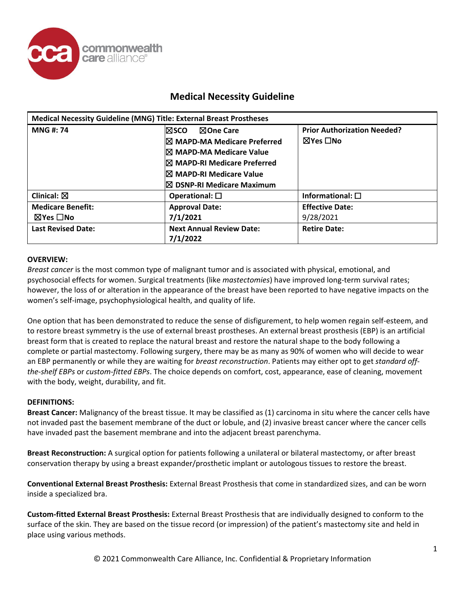

| <b>Medical Necessity Guideline (MNG) Title: External Breast Prostheses</b> |                                                                                                                                                                                                                |                                                |
|----------------------------------------------------------------------------|----------------------------------------------------------------------------------------------------------------------------------------------------------------------------------------------------------------|------------------------------------------------|
| <b>MNG#: 74</b>                                                            | ⊠One Care<br>l⊠sco.<br><b>I</b> ⊠ MAPD-MA Medicare Preferred<br><b>IX MAPD-MA Medicare Value</b><br><b>I</b> ⊠ MAPD-RI Medicare Preferred<br>I⊠ MAPD-RI Medicare Value<br>$\boxtimes$ DSNP-RI Medicare Maximum | <b>Prior Authorization Needed?</b><br>⊠Yes ∏No |
| Clinical: $\boxtimes$                                                      | Operational: $\square$                                                                                                                                                                                         | Informational: $\square$                       |
| <b>Medicare Benefit:</b><br>$\boxtimes$ Yes $\Box$ No                      | <b>Approval Date:</b><br>7/1/2021                                                                                                                                                                              | <b>Effective Date:</b><br>9/28/2021            |
| <b>Last Revised Date:</b>                                                  | <b>Next Annual Review Date:</b><br>7/1/2022                                                                                                                                                                    | <b>Retire Date:</b>                            |

#### **OVERVIEW:**

*Breast cancer* is the most common type of malignant tumor and is associated with physical, emotional, and psychosocial effects for women. Surgical treatments (like *mastectomies*) have improved long-term survival rates; however, the loss of or alteration in the appearance of the breast have been reported to have negative impacts on the women's self-image, psychophysiological health, and quality of life.

One option that has been demonstrated to reduce the sense of disfigurement, to help women regain self-esteem, and to restore breast symmetry is the use of external breast prostheses. An external breast prosthesis (EBP) is an artificial breast form that is created to replace the natural breast and restore the natural shape to the body following a complete or partial mastectomy. Following surgery, there may be as many as 90% of women who will decide to wear an EBP permanently or while they are waiting for *breast reconstruction*. Patients may either opt to get *standard offthe-shelf EBPs* or *custom-fitted EBPs*. The choice depends on comfort, cost, appearance, ease of cleaning, movement with the body, weight, durability, and fit.

#### **DEFINITIONS:**

**Breast Cancer:** Malignancy of the breast tissue. It may be classified as (1) carcinoma in situ where the cancer cells have not invaded past the basement membrane of the duct or lobule, and (2) invasive breast cancer where the cancer cells have invaded past the basement membrane and into the adjacent breast parenchyma.

**Breast Reconstruction:** A surgical option for patients following a unilateral or bilateral mastectomy, or after breast conservation therapy by using a breast expander/prosthetic implant or autologous tissues to restore the breast.

**Conventional External Breast Prosthesis:** External Breast Prosthesis that come in standardized sizes, and can be worn inside a specialized bra.

**Custom-fitted External Breast Prosthesis:** External Breast Prosthesis that are individually designed to conform to the surface of the skin. They are based on the tissue record (or impression) of the patient's mastectomy site and held in place using various methods.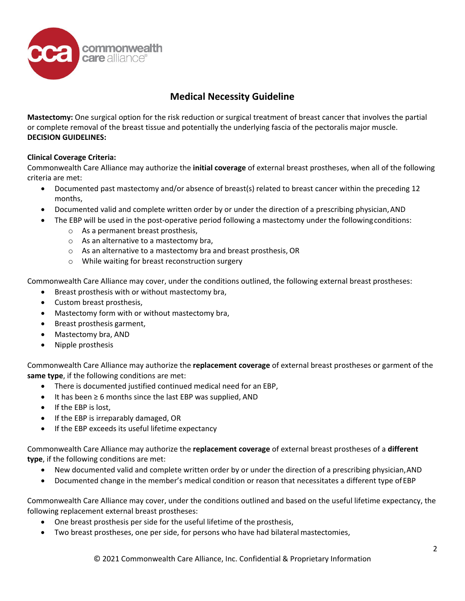

**Mastectomy:** One surgical option for the risk reduction or surgical treatment of breast cancer that involves the partial or complete removal of the breast tissue and potentially the underlying fascia of the pectoralis major muscle. **DECISION GUIDELINES:**

### **Clinical Coverage Criteria:**

Commonwealth Care Alliance may authorize the **initial coverage** of external breast prostheses, when all of the following criteria are met:

- Documented past mastectomy and/or absence of breast(s) related to breast cancer within the preceding 12 months,
- Documented valid and complete written order by or under the direction of a prescribing physician, AND
- The EBP will be used in the post-operative period following a mastectomy under the followingconditions:
	- o As a permanent breast prosthesis,
	- o As an alternative to a mastectomy bra,
	- o As an alternative to a mastectomy bra and breast prosthesis, OR
	- o While waiting for breast reconstruction surgery

Commonwealth Care Alliance may cover, under the conditions outlined, the following external breast prostheses:

- Breast prosthesis with or without mastectomy bra,
- Custom breast prosthesis,
- Mastectomy form with or without mastectomy bra,
- Breast prosthesis garment,
- Mastectomy bra, AND
- Nipple prosthesis

Commonwealth Care Alliance may authorize the **replacement coverage** of external breast prostheses or garment of the **same type**, if the following conditions are met:

- There is documented justified continued medical need for an EBP,
- It has been  $\geq 6$  months since the last EBP was supplied, AND
- If the EBP is lost,
- If the EBP is irreparably damaged, OR
- If the EBP exceeds its useful lifetime expectancy

Commonwealth Care Alliance may authorize the **replacement coverage** of external breast prostheses of a **different type**, if the following conditions are met:

- New documented valid and complete written order by or under the direction of a prescribing physician, AND
- Documented change in the member's medical condition or reason that necessitates a different type ofEBP

Commonwealth Care Alliance may cover, under the conditions outlined and based on the useful lifetime expectancy, the following replacement external breast prostheses:

- One breast prosthesis per side for the useful lifetime of the prosthesis,
- Two breast prostheses, one per side, for persons who have had bilateral mastectomies,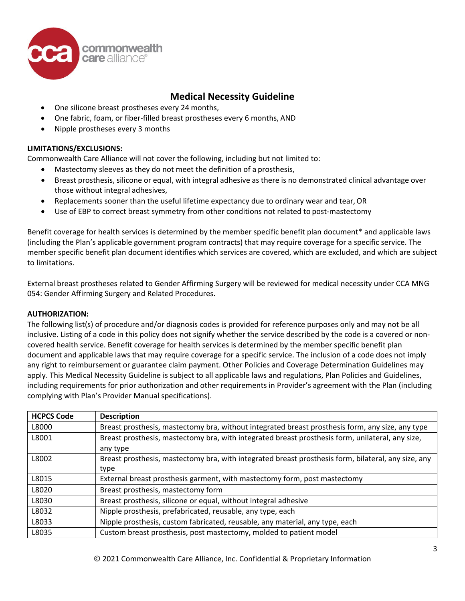

- One silicone breast prostheses every 24 months,
- One fabric, foam, or fiber-filled breast prostheses every 6 months, AND
- Nipple prostheses every 3 months

### **LIMITATIONS/EXCLUSIONS:**

Commonwealth Care Alliance will not cover the following, including but not limited to:

- Mastectomy sleeves as they do not meet the definition of a prosthesis,
- Breast prosthesis, silicone or equal, with integral adhesive as there is no demonstrated clinical advantage over those without integral adhesives,
- Replacements sooner than the useful lifetime expectancy due to ordinary wear and tear,OR
- Use of EBP to correct breast symmetry from other conditions not related to post-mastectomy

Benefit coverage for health services is determined by the member specific benefit plan document\* and applicable laws (including the Plan's applicable government program contracts) that may require coverage for a specific service. The member specific benefit plan document identifies which services are covered, which are excluded, and which are subject to limitations.

External breast prostheses related to Gender Affirming Surgery will be reviewed for medical necessity under CCA MNG 054: Gender Affirming Surgery and Related Procedures.

#### **AUTHORIZATION:**

The following list(s) of procedure and/or diagnosis codes is provided for reference purposes only and may not be all inclusive. Listing of a code in this policy does not signify whether the service described by the code is a covered or noncovered health service. Benefit coverage for health services is determined by the member specific benefit plan document and applicable laws that may require coverage for a specific service. The inclusion of a code does not imply any right to reimbursement or guarantee claim payment. Other Policies and Coverage Determination Guidelines may apply. This Medical Necessity Guideline is subject to all applicable laws and regulations, Plan Policies and Guidelines, including requirements for prior authorization and other requirements in Provider's agreement with the Plan (including complying with Plan's Provider Manual specifications).

| <b>HCPCS Code</b> | <b>Description</b>                                                                                  |
|-------------------|-----------------------------------------------------------------------------------------------------|
| L8000             | Breast prosthesis, mastectomy bra, without integrated breast prosthesis form, any size, any type    |
| L8001             | Breast prosthesis, mastectomy bra, with integrated breast prosthesis form, unilateral, any size,    |
|                   | any type                                                                                            |
| L8002             | Breast prosthesis, mastectomy bra, with integrated breast prosthesis form, bilateral, any size, any |
|                   | type                                                                                                |
| L8015             | External breast prosthesis garment, with mastectomy form, post mastectomy                           |
| L8020             | Breast prosthesis, mastectomy form                                                                  |
| L8030             | Breast prosthesis, silicone or equal, without integral adhesive                                     |
| L8032             | Nipple prosthesis, prefabricated, reusable, any type, each                                          |
| L8033             | Nipple prosthesis, custom fabricated, reusable, any material, any type, each                        |
| L8035             | Custom breast prosthesis, post mastectomy, molded to patient model                                  |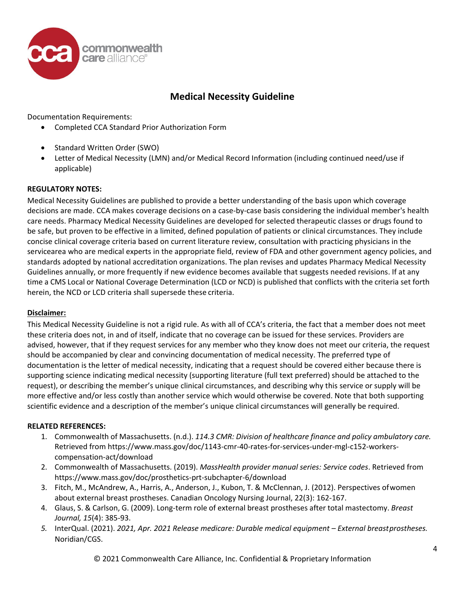

Documentation Requirements:

- Completed CCA Standard Prior Authorization Form
- Standard Written Order (SWO)
- Letter of Medical Necessity (LMN) and/or Medical Record Information (including continued need/use if applicable)

#### **REGULATORY NOTES:**

Medical Necessity Guidelines are published to provide a better understanding of the basis upon which coverage decisions are made. CCA makes coverage decisions on a case-by-case basis considering the individual member's health care needs. Pharmacy Medical Necessity Guidelines are developed for selected therapeutic classes or drugs found to be safe, but proven to be effective in a limited, defined population of patients or clinical circumstances. They include concise clinical coverage criteria based on current literature review, consultation with practicing physicians in the servicearea who are medical experts in the appropriate field, review of FDA and other government agency policies, and standards adopted by national accreditation organizations. The plan revises and updates Pharmacy Medical Necessity Guidelines annually, or more frequently if new evidence becomes available that suggests needed revisions. If at any time a CMS Local or National Coverage Determination (LCD or NCD) is published that conflicts with the criteria set forth herein, the NCD or LCD criteria shall supersede these criteria.

#### **Disclaimer:**

This Medical Necessity Guideline is not a rigid rule. As with all of CCA's criteria, the fact that a member does not meet these criteria does not, in and of itself, indicate that no coverage can be issued for these services. Providers are advised, however, that if they request services for any member who they know does not meet our criteria, the request should be accompanied by clear and convincing documentation of medical necessity. The preferred type of documentation is the letter of medical necessity, indicating that a request should be covered either because there is supporting science indicating medical necessity (supporting literature (full text preferred) should be attached to the request), or describing the member's unique clinical circumstances, and describing why this service or supply will be more effective and/or less costly than another service which would otherwise be covered. Note that both supporting scientific evidence and a description of the member's unique clinical circumstances will generally be required.

#### **RELATED REFERENCES:**

- 1. Commonwealth of Massachusetts. (n.d.). *114.3 CMR: Division of healthcare finance and policy ambulatory care.*  Retrieved from https[://www.mass.gov/doc/1143-cmr-40-rates-for-services-under-mgl-c152-workers](http://www.mass.gov/doc/1143-cmr-40-rates-for-services-under-mgl-c152-workers-)compensation-act/download
- 2. Commonwealth of Massachusetts. (2019). *MassHealth provider manual series: Service codes*. Retrieved from https[://www.mass.gov/doc/prosthetics-prt-subchapter-](http://www.mass.gov/doc/prosthetics-prt-subchapter-6/download)6/download
- 3. Fitch, M., McAndrew, A., Harris, A., Anderson, J., Kubon, T. & McClennan, J. (2012). Perspectives ofwomen about external breast prostheses. Canadian Oncology Nursing Journal, 22(3): 162-167.
- 4. Glaus, S. & Carlson, G. (2009). Long-term role of external breast prostheses after total mastectomy. *Breast Journal, 15*(4): 385-93.
- *5.* InterQual. (2021). *2021, Apr. 2021 Release medicare: Durable medical equipment – External breastprostheses.* Noridian/CGS.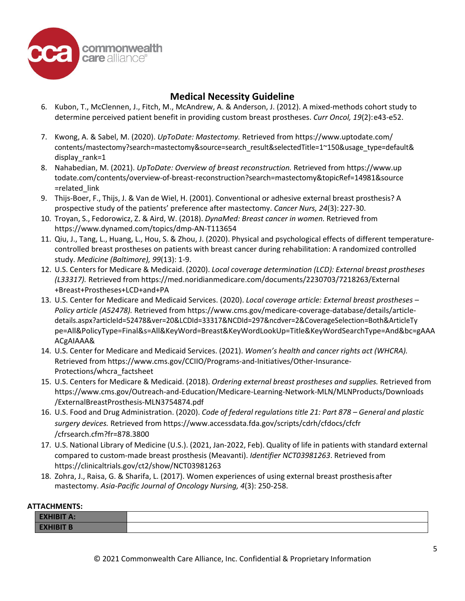

- 6. Kubon, T., McClennen, J., Fitch, M., McAndrew, A. & Anderson, J. (2012). A mixed-methods cohort study to determine perceived patient benefit in providing custom breast prostheses. *Curr Oncol, 19*(2):e43-e52.
- 7. Kwong, A. & Sabel, M. (2020). *UpToDate: Mastectomy.* Retrieved from htt[ps://www.uptodate.com/](http://www.uptodate.com/) contents/mastectomy?search=mastectomy&source=search\_result&selectedTitle=1~150&usage\_type=default& display\_rank=1
- 8. Nahabedian, M. (2021). *UpToDate: Overview of breast reconstruction.* Retrieved from https://www.up todate.com/contents/overview-of-breast-reconstruction?search=mastectomy&topicRef=14981&source =related\_link
- 9. Thijs-Boer, F., Thijs, J. & Van de Wiel, H. (2001). Conventional or adhesive external breast prosthesis? A prospective study of the patients' preference after mastectomy. *Cancer Nurs, 24*(3): 227-30.
- 10. Troyan, S., Fedorowicz, Z. & Aird, W. (2018). *DynaMed: Breast cancer in women.* Retrieved from htt[ps://www.dynamed.com/topics/dmp-AN-](http://www.dynamed.com/topics/dmp-AN-T113654)T113654
- 11. Qiu, J., Tang, L., Huang, L., Hou, S. & Zhou, J. (2020). Physical and psychological effects of different temperaturecontrolled breast prostheses on patients with breast cancer during rehabilitation: A randomized controlled study. *Medicine (Baltimore), 99*(13): 1-9.
- 12. U.S. Centers for Medicare & Medicaid. (2020). *Local coverage determination (LCD): External breast prostheses (L33317).* Retrieved from <https://med.noridianmedicare.com/documents/2230703/7218263/External> +Breast+Prostheses+LCD+and+PA
- 13. U.S. Center for Medicare and Medicaid Services. (2020). *Local coverage article: External breast prostheses – Policy article (A52478).* Retrieved from htt[ps://www.cms.gov/medicare-coverage-database/details/article](http://www.cms.gov/medicare-coverage-database/details/article-)details.aspx?articleId=52478&ver=20&LCDId=33317&NCDId=297&ncdver=2&CoverageSelection=Both&ArticleTy pe=All&PolicyType=Final&s=All&KeyWord=Breast&KeyWordLookUp=Title&KeyWordSearchType=And&bc=gAAA ACgAIAAA&
- 14. U.S. Center for Medicare and Medicaid Services. (2021). *Women's health and cancer rights act (WHCRA).*  Retrieved from htt[ps://www.cms.gov/CCIIO/Programs-and-Initiatives/Other-Insurance-](http://www.cms.gov/CCIIO/Programs-and-Initiatives/Other-Insurance-)Protections/whcra\_factsheet
- 15. U.S. Centers for Medicare & Medicaid. (2018). *Ordering external breast prostheses and supplies.* Retrieved from https[://www.cms.gov/Outreach-and-Education/Medicare-Learning-Network-MLN/MLNProducts/Downloads](http://www.cms.gov/Outreach-and-Education/Medicare-Learning-Network-MLN/MLNProducts/Downloads) /ExternalBreastProsthesis-MLN3754874.pdf
- 16. U.S. Food and Drug Administration. (2020). *Code of federal regulations title 21: Part 878 – General and plastic surgery devices.* Retrieved from https[://www.accessdata.fda.gov/scripts/cdrh/cfdocs/cfcfr](http://www.accessdata.fda.gov/scripts/cdrh/cfdocs/cfcfr) /cfrsearch.cfm?fr=878.3800
- 17. U.S. National Library of Medicine (U.S.). (2021, Jan-2022, Feb). Quality of life in patients with standard external compared to custom-made breast prosthesis (Meavanti). *Identifier NCT03981263*. Retrieved from https://clinicaltrials.gov/ct2/show/NCT03981263
- 18. Zohra, J., Raisa, G. & Sharifa, L. (2017). Women experiences of using external breast prosthesisafter mastectomy. *Asia-Pacific Journal of Oncology Nursing, 4*(3): 250-258.

#### **ATTACHMENTS:**

| <b>EXHIBIT A:</b> |  |
|-------------------|--|
| <b>EXHIBIT B</b>  |  |